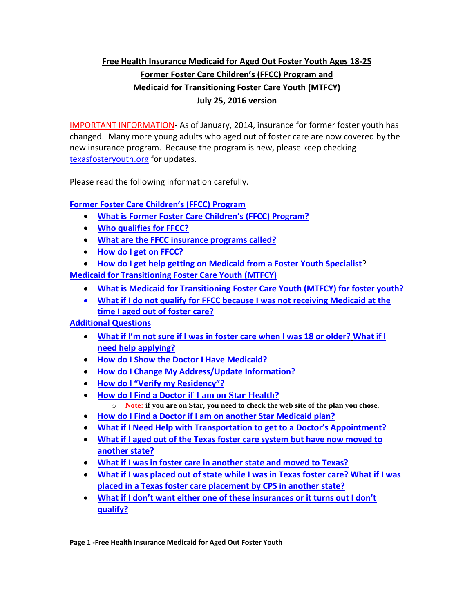# **Free Health Insurance Medicaid for Aged Out Foster Youth Ages 18-25 Former Foster Care Children's (FFCC) Program and Medicaid for Transitioning Foster Care Youth (MTFCY) July 25, 2016 version**

IMPORTANT INFORMATION- As of January, 2014, insurance for former foster youth has changed. Many more young adults who aged out of foster care are now covered by the new insurance program. Because the program is new, please keep checking [texasfosteryouth.org](http://texasfosteryouth.org/) for updates.

Please read the following information carefully.

# **[Former Foster Care Children's \(FFCC\) Program](#page-1-0)**

- **[What is Former Foster Care Children's](#page-1-1) (FFCC) Program?**
- **[Who qualifies for FFCC?](#page-1-2)**
- **[What are the FFCC insurance programs called?](#page-1-3)**
- **[How do I get on FFCC?](#page-2-0)**
- **[How do I get help getting on Medicaid from a Foster Youth Specialist](#page-3-0)**?

**[Medicaid for Transitioning Foster Care Youth \(MTFCY\)](#page-4-0)**

- **What is Medicaid for Transitioning [Foster Care Youth \(MTFCY\) for foster youth?](#page-4-1)**
- **[What if I do not qualify for FFCC because I was not receiving Medicaid at the](#page-4-2)  [time I aged out of foster care?](#page-4-2)**

## **[Additional Questions](#page-4-3)**

- **[What if I'm not sure if I was in foster care when I was 18 or older?](#page-4-4) [What if I](#page-4-5)  [need help applying?](#page-4-5)**
- **[How do I Show the Doctor I Have](#page-5-0) Medicaid?**
- **[How do I Change My Address/Update Information?](#page-5-1)**
- **[How do I "Verify my Residency"?](#page-6-0)**
- **[How do I Find a Doctor](#page-6-0) if I am on Star Health?**
- o **Note: if you are on Star, you need to check the web site of the plan you chose.**
- **[How do I Find a Doctor if I am on another Star Medicaid plan?](#page-7-0)**
- **[What if I Need Help with Transportation to get to a Doctor's Appointment?](#page-7-1)**
- **[What if I aged out of the Texas foster care system](#page-8-0) but have now moved to [another state?](#page-8-0)**
- **[What if I was in foster care in another state and moved to Texas?](#page-8-1)**
- **[What if I was placed out of state while I was in Texas foster care? What if I was](#page-8-2)  [placed in a Texas foster care placement by CPS in another state?](#page-8-2)**
- **[What if I don't want either one of these insurances or it turns out I don't](#page-9-0)  [qualify?](#page-9-0)**

**Page 1 -Free Health Insurance Medicaid for Aged Out Foster Youth**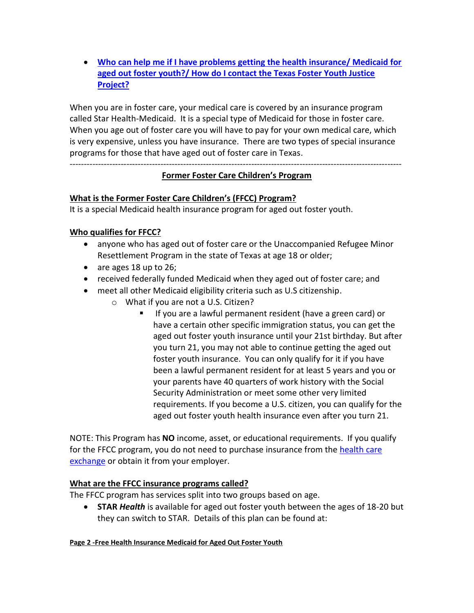**[Who can help me if I have problems getting the health insurance/ Medicaid for](#page-9-1)  [aged out foster youth?/ How do I contact the Texas Foster Youth Justice](#page-9-1)  [Project?](#page-9-1)**

When you are in foster care, your medical care is covered by an insurance program called Star Health-Medicaid. It is a special type of Medicaid for those in foster care. When you age out of foster care you will have to pay for your own medical care, which is very expensive, unless you have insurance. There are two types of special insurance programs for those that have aged out of foster care in Texas.

## <span id="page-1-0"></span>---------------------------------------------------------------------------------------------------------------------

## **Former Foster Care Children's Program**

## <span id="page-1-1"></span>**What is the Former Foster Care Children's (FFCC) Program?**

It is a special Medicaid health insurance program for aged out foster youth.

# <span id="page-1-2"></span>**Who qualifies for FFCC?**

- anyone who has aged out of foster care or the Unaccompanied Refugee Minor Resettlement Program in the state of Texas at age 18 or older;
- are ages 18 up to 26;
- received federally funded Medicaid when they aged out of foster care; and
- meet all other Medicaid eligibility criteria such as U.S citizenship.
	- o What if you are not a U.S. Citizen?
		- If you are a lawful permanent resident (have a green card) or have a certain other specific immigration status, you can get the aged out foster youth insurance until your 21st birthday. But after you turn 21, you may not able to continue getting the aged out foster youth insurance. You can only qualify for it if you have been a lawful permanent resident for at least 5 years and you or your parents have 40 quarters of work history with the Social Security Administration or meet some other very limited requirements. If you become a U.S. citizen, you can qualify for the aged out foster youth health insurance even after you turn 21.

NOTE: This Program has **NO** income, asset, or educational requirements. If you qualify for the FFCC program, you do not need to purchase insurance from the health care [exchange](http://www.healthcare.gov/) or obtain it from your employer.

## <span id="page-1-3"></span>**What are the FFCC insurance programs called?**

The FFCC program has services split into two groups based on age.

 **STAR** *Health* is available for aged out foster youth between the ages of 18-20 but they can switch to STAR. Details of this plan can be found at:

## **Page 2 -Free Health Insurance Medicaid for Aged Out Foster Youth**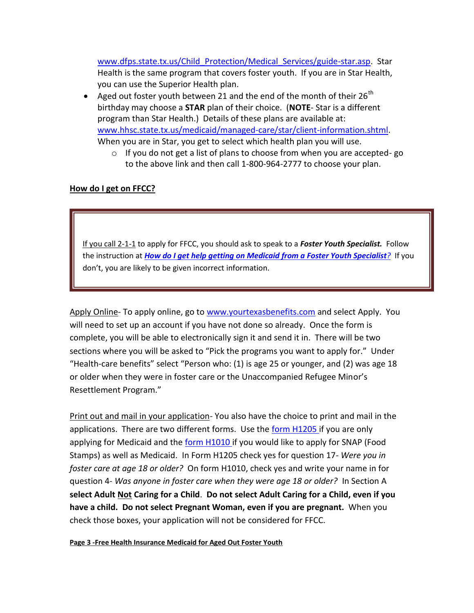[www.dfps.state.tx.us/Child\\_Protection/Medical\\_Services/guide-star.asp.](http://www.dfps.state.tx.us/Child_Protection/Medical_Services/guide-star.asp) Star Health is the same program that covers foster youth. If you are in Star Health, you can use the Superior Health plan.

- Aged out foster youth between 21 and the end of the month of their 26<sup>th</sup> birthday may choose a **STAR** plan of their choice. (**NOTE**- Star is a different program than Star Health.) Details of these plans are available at: [www.hhsc.state.tx.us/medicaid/managed-care/star/client-information.shtml.](http://www.hhsc.state.tx.us/medicaid/managed-care/star/client-information.shtml) When you are in Star, you get to select which health plan you will use.
	- o If you do not get a list of plans to choose from when you are accepted- go to the above link and then call 1-800-964-2777 to choose your plan.

#### <span id="page-2-0"></span>**How do I get on FFCC?**

If you call 2-1-1 to apply for FFCC, you should ask to speak to a *Foster Youth Specialist.* Follow the instruction at *[How do I get help getting on Medicaid from a Foster Youth Specialist](#page-3-0)?*If you don't, you are likely to be given incorrect information.

Apply Online- To apply online, go to [www.yourtexasbenefits.com](http://www.yourtexasbenefits.com/) and select Apply. You will need to set up an account if you have not done so already. Once the form is complete, you will be able to electronically sign it and send it in. There will be two sections where you will be asked to "Pick the programs you want to apply for." Under "Health-care benefits" select "Person who: (1) is age 25 or younger, and (2) was age 18 or older when they were in foster care or the Unaccompanied Refugee Minor's Resettlement Program."

Print out and mail in your application- You also have the choice to print and mail in the applications. There are two different forms. Use the [form H1205 i](https://www.dads.state.tx.us/forms/H1205/)f you are only applying for Medicaid and the [form H1010 i](https://www.dads.state.tx.us/forms/H1010/)f you would like to apply for SNAP (Food Stamps) as well as Medicaid. In Form H1205 check yes for question 17- *Were you in foster care at age 18 or older?* On form H1010, check yes and write your name in for question 4- *Was anyone in foster care when they were age 18 or older?* In Section A **select Adult Not Caring for a Child**. **Do not select Adult Caring for a Child, even if you have a child. Do not select Pregnant Woman, even if you are pregnant.** When you check those boxes, your application will not be considered for FFCC.

**Page 3 -Free Health Insurance Medicaid for Aged Out Foster Youth**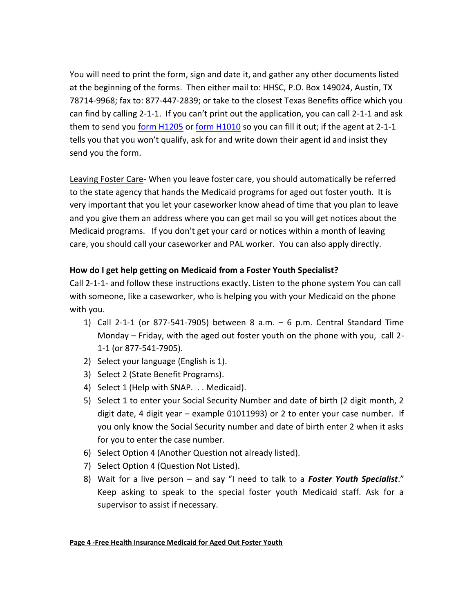You will need to print the form, sign and date it, and gather any other documents listed at the beginning of the forms. Then either mail to: HHSC, P.O. Box 149024, Austin, TX 78714-9968; fax to: 877-447-2839; or take to the closest Texas Benefits office which you can find by calling 2-1-1. If you can't print out the application, you can call 2-1-1 and ask them to send you [form H1205](https://www.dads.state.tx.us/forms/H1205/) o[r form H1010](https://www.dads.state.tx.us/forms/H1010/) so you can fill it out; if the agent at 2-1-1 tells you that you won't qualify, ask for and write down their agent id and insist they send you the form.

Leaving Foster Care- When you leave foster care, you should automatically be referred to the state agency that hands the Medicaid programs for aged out foster youth. It is very important that you let your caseworker know ahead of time that you plan to leave and you give them an address where you can get mail so you will get notices about the Medicaid programs. If you don't get your card or notices within a month of leaving care, you should call your caseworker and PAL worker. You can also apply directly.

## <span id="page-3-0"></span>**How do I get help getting on Medicaid from a Foster Youth Specialist?**

Call 2-1-1- and follow these instructions exactly. Listen to the phone system You can call with someone, like a caseworker, who is helping you with your Medicaid on the phone with you.

- 1) Call 2-1-1 (or 877-541-7905) between 8 a.m. 6 p.m. Central Standard Time Monday – Friday, with the aged out foster youth on the phone with you, call 2- 1-1 (or 877-541-7905).
- 2) Select your language (English is 1).
- 3) Select 2 (State Benefit Programs).
- 4) Select 1 (Help with SNAP. . . Medicaid).
- 5) Select 1 to enter your Social Security Number and date of birth (2 digit month, 2 digit date, 4 digit year – example 01011993) or 2 to enter your case number. If you only know the Social Security number and date of birth enter 2 when it asks for you to enter the case number.
- 6) Select Option 4 (Another Question not already listed).
- 7) Select Option 4 (Question Not Listed).
- 8) Wait for a live person and say "I need to talk to a *Foster Youth Specialist*." Keep asking to speak to the special foster youth Medicaid staff. Ask for a supervisor to assist if necessary.

#### **Page 4 -Free Health Insurance Medicaid for Aged Out Foster Youth**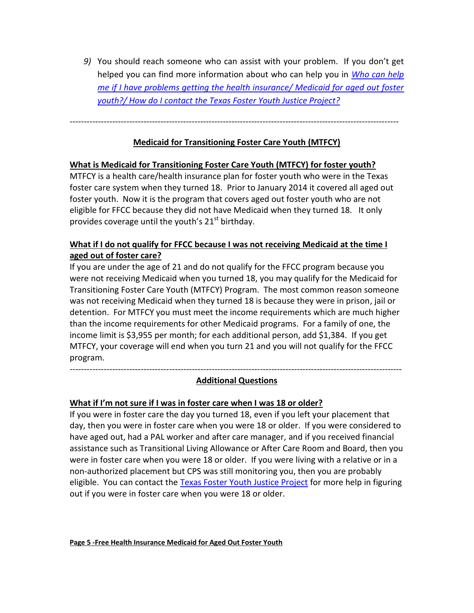*9)* You should reach someone who can assist with your problem. If you don't get helped you can find more information about who can help you in *[Who can help](#page-9-1)  [me if I have problems getting the health insurance/ Medicaid for aged out foster](#page-9-1)  youth?/ How do I contact [the Texas Foster Youth Justice Project?](#page-9-1)*

<span id="page-4-0"></span>--------------------------------------------------------------------------------------------------------------------

#### **Medicaid for Transitioning Foster Care Youth (MTFCY)**

#### <span id="page-4-1"></span>**What is Medicaid for Transitioning Foster Care Youth (MTFCY) for foster youth?**

MTFCY is a health care/health insurance plan for foster youth who were in the Texas foster care system when they turned 18. Prior to January 2014 it covered all aged out foster youth. Now it is the program that covers aged out foster youth who are not eligible for FFCC because they did not have Medicaid when they turned 18. It only provides coverage until the youth's  $21<sup>st</sup>$  birthday.

## <span id="page-4-2"></span>**What if I do not qualify for FFCC because I was not receiving Medicaid at the time I aged out of foster care?**

If you are under the age of 21 and do not qualify for the FFCC program because you were not receiving Medicaid when you turned 18, you may qualify for the Medicaid for Transitioning Foster Care Youth (MTFCY) Program. The most common reason someone was not receiving Medicaid when they turned 18 is because they were in prison, jail or detention. For MTFCY you must meet the income requirements which are much higher than the income requirements for other Medicaid programs. For a family of one, the income limit is \$3,955 per month; for each additional person, add \$1,384. If you get MTFCY, your coverage will end when you turn 21 and you will not qualify for the FFCC program.

<span id="page-4-3"></span>--------------------------------------------------------------------------------------------------------------------- **Additional Questions**

#### <span id="page-4-4"></span>**What if I'm not sure if I was in foster care when I was 18 or older?**

<span id="page-4-5"></span>If you were in foster care the day you turned 18, even if you left your placement that day, then you were in foster care when you were 18 or older. If you were considered to have aged out, had a PAL worker and after care manager, and if you received financial assistance such as Transitional Living Allowance or After Care Room and Board, then you were in foster care when you were 18 or older. If you were living with a relative or in a non-authorized placement but CPS was still monitoring you, then you are probably eligible. You can contact the [Texas Foster Youth Justice Project](http://texasfosteryouth.org/contact) for more help in figuring out if you were in foster care when you were 18 or older.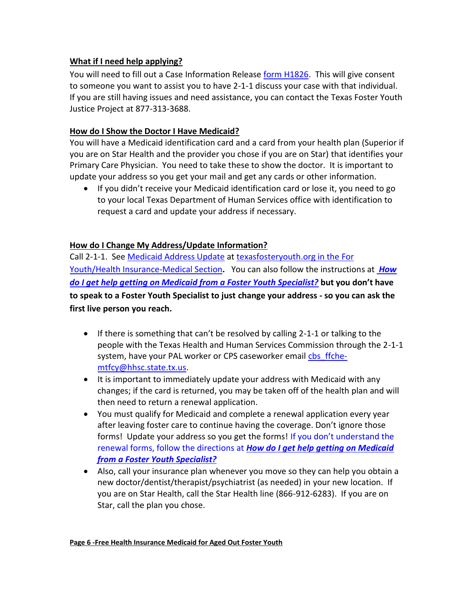## **What if I need help applying?**

You will need to fill out a Case Information Release [form H1826.](https://www.dads.state.tx.us/forms/1826-D/) This will give consent to someone you want to assist you to have 2-1-1 discuss your case with that individual. If you are still having issues and need assistance, you can contact the Texas Foster Youth Justice Project at 877-313-3688.

## <span id="page-5-0"></span>**How do I Show the Doctor I Have Medicaid?**

You will have a Medicaid identification card and a card from your health plan (Superior if you are on Star Health and the provider you chose if you are on Star) that identifies your Primary Care Physician. You need to take these to show the doctor. It is important to update your address so you get your mail and get any cards or other information.

 If you didn't receive your Medicaid identification card or lose it, you need to go to your local Texas Department of Human Services office with identification to request a card and update your address if necessary.

## <span id="page-5-1"></span>**How do I Change My Address/Update Information?**

Call 2-1-1. See [Medicaid Address Update](http://texasfosteryouth.org/download/365/) at [texasfosteryouth.org in the For](http://texasfosteryouth.org/legal-resources/legal-resources-for-youth/medical-issues-health-insurance/)  [Youth/Health Insurance-Medical Section](http://texasfosteryouth.org/legal-resources/legal-resources-for-youth/medical-issues-health-insurance/)**.** You can also follow the instructions at *[How](#page-3-0)  [do I get help getting on Medicaid from a Foster Youth Specialist?](#page-3-0)* **but you don't have to speak to a Foster Youth Specialist to just change your address - so you can ask the first live person you reach.**

- If there is something that can't be resolved by calling 2-1-1 or talking to the people with the Texas Health and Human Services Commission through the 2-1-1 system, have your PAL worker or CPS caseworker email cbs ffche[mtfcy@hhsc.state.tx.us.](mailto:cbs_ffche-mtfcy@hhsc.state.tx.us)
- It is important to immediately update your address with Medicaid with any changes; if the card is returned, you may be taken off of the health plan and will then need to return a renewal application.
- You must qualify for Medicaid and complete a renewal application every year after leaving foster care to continue having the coverage. Don't ignore those forms! Update your address so you get the forms! [If you don't under](#page-3-0)stand the renewal forms, follow the directions at *[How do I get help getting on Medicaid](#page-3-0)  [from a Foster Youth Specialist?](#page-3-0)*
- Also, call your insurance plan whenever you move so they can help you obtain a new doctor/dentist/therapist/psychiatrist (as needed) in your new location. If you are on Star Health, call the Star Health line (866-912-6283). If you are on Star, call the plan you chose.

#### **Page 6 -Free Health Insurance Medicaid for Aged Out Foster Youth**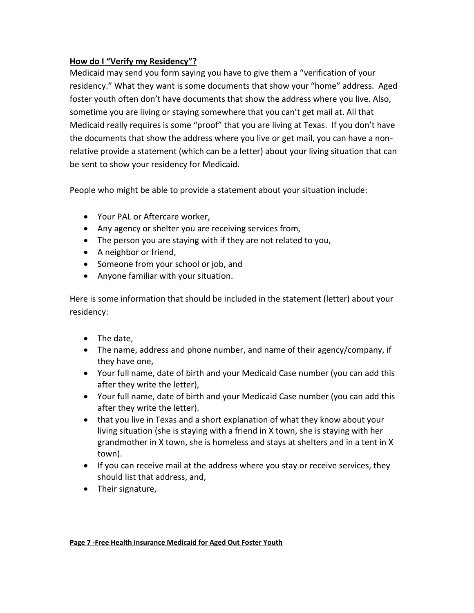## <span id="page-6-0"></span>**How do I "Verify my Residency"?**

Medicaid may send you form saying you have to give them a "verification of your residency." What they want is some documents that show your "home" address. Aged foster youth often don't have documents that show the address where you live. Also, sometime you are living or staying somewhere that you can't get mail at. All that Medicaid really requires is some "proof" that you are living at Texas. If you don't have the documents that show the address where you live or get mail, you can have a nonrelative provide a statement (which can be a letter) about your living situation that can be sent to show your residency for Medicaid.

People who might be able to provide a statement about your situation include:

- Your PAL or Aftercare worker,
- Any agency or shelter you are receiving services from,
- The person you are staying with if they are not related to you,
- A neighbor or friend,
- Someone from your school or job, and
- Anyone familiar with your situation.

Here is some information that should be included in the statement (letter) about your residency:

- The date.
- The name, address and phone number, and name of their agency/company, if they have one,
- Your full name, date of birth and your Medicaid Case number (you can add this after they write the letter),
- Your full name, date of birth and your Medicaid Case number (you can add this after they write the letter).
- that you live in Texas and a short explanation of what they know about your living situation (she is staying with a friend in X town, she is staying with her grandmother in X town, she is homeless and stays at shelters and in a tent in X town).
- If you can receive mail at the address where you stay or receive services, they should list that address, and,
- Their signature,

#### **Page 7 -Free Health Insurance Medicaid for Aged Out Foster Youth**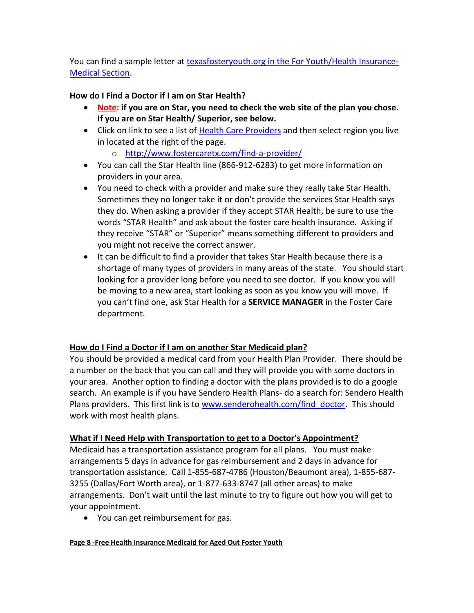You can find a sample letter at [texasfosteryouth.org in the For Youth/Health Insurance-](http://texasfosteryouth.org/legal-resources/legal-resources-for-youth/medical-issues-health-insurance/)[Medical Section.](http://texasfosteryouth.org/legal-resources/legal-resources-for-youth/medical-issues-health-insurance/)

## **How do I Find a Doctor if I am on Star Health?**

- **Note: if you are on Star, you need to check the web site of the plan you chose. If you are on Star Health/ Superior, see below.**
- Click on link to see a list of [Health Care Providers](http://www.fostercaretx.com/find-a-provider/) and then select region you live in located at the right of the page.
	- o <http://www.fostercaretx.com/find-a-provider/>
- You can call the Star Health line (866-912-6283) to get more information on providers in your area.
- You need to check with a provider and make sure they really take Star Health. Sometimes they no longer take it or don't provide the services Star Health says they do. When asking a provider if they accept STAR Health, be sure to use the words "STAR Health" and ask about the foster care health insurance. Asking if they receive "STAR" or "Superior" means something different to providers and you might not receive the correct answer.
- It can be difficult to find a provider that takes Star Health because there is a shortage of many types of providers in many areas of the state. You should start looking for a provider long before you need to see doctor. If you know you will be moving to a new area, start looking as soon as you know you will move. If you can't find one, ask Star Health for a **SERVICE MANAGER** in the Foster Care department.

## <span id="page-7-0"></span>**How do I Find a Doctor if I am on another Star Medicaid plan?**

You should be provided a medical card from your Health Plan Provider. There should be a number on the back that you can call and they will provide you with some doctors in your area. Another option to finding a doctor with the plans provided is to do a google search. An example is if you have Sendero Health Plans- do a search for: Sendero Health Plans providers. This first link is to www.senderohealth.com/find doctor. This should work with most health plans.

## <span id="page-7-1"></span>**What if I Need Help with Transportation to get to a Doctor's Appointment?**

Medicaid has a transportation assistance program for all plans. You must make arrangements 5 days in advance for gas reimbursement and 2 days in advance for transportation assistance. Call 1-855-687-4786 (Houston/Beaumont area), 1-855-687- 3255 (Dallas/Fort Worth area), or 1-877-633-8747 (all other areas) to make arrangements. Don't wait until the last minute to try to figure out how you will get to your appointment.

You can get reimbursement for gas.

#### **Page 8 -Free Health Insurance Medicaid for Aged Out Foster Youth**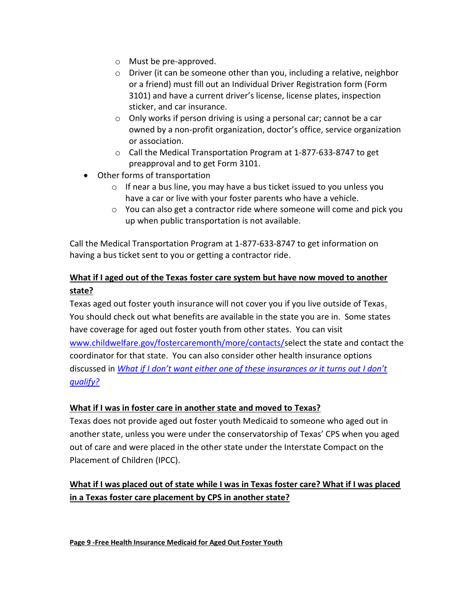- o Must be pre-approved.
- o Driver (it can be someone other than you, including a relative, neighbor or a friend) must fill out an Individual Driver Registration form (Form 3101) and have a current driver's license, license plates, inspection sticker, and car insurance.
- o Only works if person driving is using a personal car; cannot be a car owned by a non-profit organization, doctor's office, service organization or association.
- o Call the Medical Transportation Program at 1-877-633-8747 to get preapproval and to get Form 3101.
- Other forms of transportation
	- o If near a bus line, you may have a bus ticket issued to you unless you have a car or live with your foster parents who have a vehicle.
	- $\circ$  You can also get a contractor ride where someone will come and pick you up when public transportation is not available.

Call the Medical Transportation Program at 1-877-633-8747 to get information on having a bus ticket sent to you or getting a contractor ride.

# <span id="page-8-0"></span>**What if I aged out of the Texas foster care system but have now moved to another state?**

Texas aged out foster youth insurance will not cover you if you live outside of Texas. You should check out what benefits are available in the state you are in. Some states have coverage for aged out foster youth from other states. You can visit [www.childwelfare.gov/fostercaremonth/more/contacts/s](https://www.childwelfare.gov/fostercaremonth/more/contacts/)elect the state and contact the coordinator for that state. You can also consider other health insurance options discussed in *[What if I don't want either one of these insurances or it turns out I don't](#page-9-0)  [qualify?](#page-9-0)*

## <span id="page-8-1"></span>**What if I was in foster care in another state and moved to Texas?**

Texas does not provide aged out foster youth Medicaid to someone who aged out in another state, unless you were under the conservatorship of Texas' CPS when you aged out of care and were placed in the other state under the Interstate Compact on the Placement of Children (IPCC).

# <span id="page-8-2"></span>**What if I was placed out of state while I was in Texas foster care? What if I was placed in a Texas foster care placement by CPS in another state?**